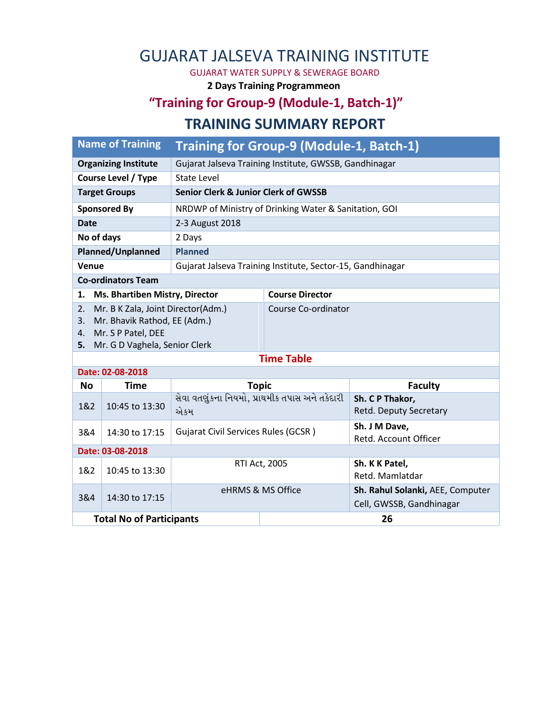## GUJARAT JALSEVA TRAINING INSTITUTE

GUJARAT WATER SUPPLY & SEWERAGE BOARD

**2 Days Training Programmeon**

## **"Training for Group-9 (Module-1, Batch-1)" TRAINING SUMMARY REPORT**

| <b>Organizing Institute</b><br>Gujarat Jalseva Training Institute, GWSSB, Gandhinagar |                                                                                                    |                                                                                                                                                                          |  |  |  |  |  |  |
|---------------------------------------------------------------------------------------|----------------------------------------------------------------------------------------------------|--------------------------------------------------------------------------------------------------------------------------------------------------------------------------|--|--|--|--|--|--|
| State Level                                                                           |                                                                                                    |                                                                                                                                                                          |  |  |  |  |  |  |
|                                                                                       |                                                                                                    |                                                                                                                                                                          |  |  |  |  |  |  |
|                                                                                       |                                                                                                    |                                                                                                                                                                          |  |  |  |  |  |  |
| 2-3 August 2018                                                                       |                                                                                                    |                                                                                                                                                                          |  |  |  |  |  |  |
| 2 Days                                                                                |                                                                                                    |                                                                                                                                                                          |  |  |  |  |  |  |
| Planned/Unplanned<br><b>Planned</b>                                                   |                                                                                                    |                                                                                                                                                                          |  |  |  |  |  |  |
| Gujarat Jalseva Training Institute, Sector-15, Gandhinagar                            |                                                                                                    |                                                                                                                                                                          |  |  |  |  |  |  |
| <b>Co-ordinators Team</b>                                                             |                                                                                                    |                                                                                                                                                                          |  |  |  |  |  |  |
|                                                                                       | <b>Course Director</b>                                                                             |                                                                                                                                                                          |  |  |  |  |  |  |
| Mr. B K Zala, Joint Director(Adm.)<br>2.<br>3.                                        |                                                                                                    | Course Co-ordinator                                                                                                                                                      |  |  |  |  |  |  |
|                                                                                       |                                                                                                    |                                                                                                                                                                          |  |  |  |  |  |  |
|                                                                                       |                                                                                                    |                                                                                                                                                                          |  |  |  |  |  |  |
| <b>Time Table</b>                                                                     |                                                                                                    |                                                                                                                                                                          |  |  |  |  |  |  |
|                                                                                       |                                                                                                    |                                                                                                                                                                          |  |  |  |  |  |  |
| <b>Topic</b>                                                                          |                                                                                                    | <b>Faculty</b>                                                                                                                                                           |  |  |  |  |  |  |
| સેવા વતણુંકના નિયમો, પ્રાથમીક તપાસ અને તકેદારી<br>એકમ                                 |                                                                                                    | Sh. C P Thakor,<br>Retd. Deputy Secretary                                                                                                                                |  |  |  |  |  |  |
| <b>Gujarat Civil Services Rules (GCSR)</b>                                            |                                                                                                    | Sh. J M Dave,<br>Retd. Account Officer                                                                                                                                   |  |  |  |  |  |  |
| Date: 03-08-2018<br>$-1$ $-1$                                                         |                                                                                                    |                                                                                                                                                                          |  |  |  |  |  |  |
|                                                                                       | Ms. Bhartiben Mistry, Director<br>Mr. Bhavik Rathod, EE (Adm.)<br>5. Mr. G D Vaghela, Senior Clerk | Training for Group-9 (Module-1, Batch-1)<br><b>Senior Clerk &amp; Junior Clerk of GWSSB</b><br>NRDWP of Ministry of Drinking Water & Sanitation, GOI<br><b>PELA LOOP</b> |  |  |  |  |  |  |

| Date: 03-08-2018                |                |                   |                      |                                                              |  |  |  |  |
|---------------------------------|----------------|-------------------|----------------------|--------------------------------------------------------------|--|--|--|--|
| 1&2                             | 10:45 to 13:30 |                   | <b>RTI Act, 2005</b> | Sh. K K Patel,<br>Retd. Mamlatdar                            |  |  |  |  |
| 3&4                             | 14:30 to 17:15 | eHRMS & MS Office |                      | Sh. Rahul Solanki, AEE, Computer<br>Cell, GWSSB, Gandhinagar |  |  |  |  |
| <b>Total No of Participants</b> |                | 26                |                      |                                                              |  |  |  |  |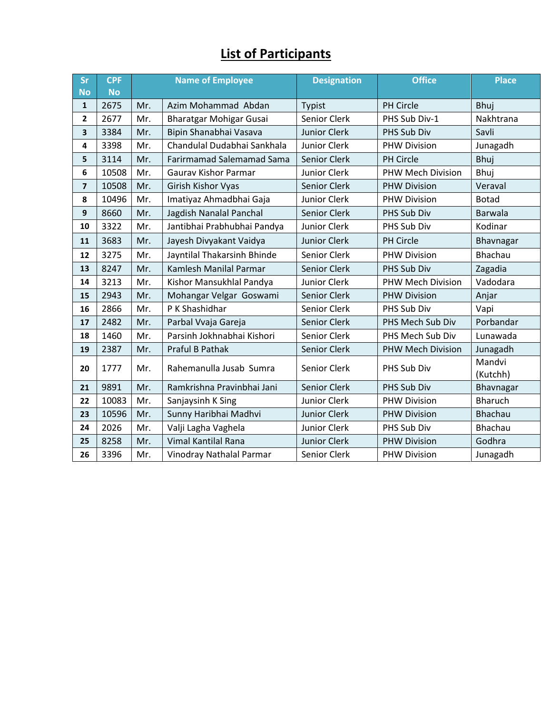## **List of Participants**

| <b>Sr</b>               | <b>CPF</b> | <b>Name of Employee</b> |                                  | <b>Designation</b>  | <b>Office</b>            | <b>Place</b>   |
|-------------------------|------------|-------------------------|----------------------------------|---------------------|--------------------------|----------------|
| <b>No</b>               | <b>No</b>  |                         |                                  |                     |                          |                |
| 1                       | 2675       | Mr.                     | Azim Mohammad Abdan              | Typist              | PH Circle                | <b>Bhuj</b>    |
| 2                       | 2677       | Mr.                     | Bharatgar Mohigar Gusai          | Senior Clerk        | PHS Sub Div-1            | Nakhtrana      |
| 3                       | 3384       | Mr.                     | Bipin Shanabhai Vasava           | <b>Junior Clerk</b> | PHS Sub Div              | Savli          |
| 4                       | 3398       | Mr.                     | Chandulal Dudabhai Sankhala      | Junior Clerk        | <b>PHW Division</b>      | Junagadh       |
| 5                       | 3114       | Mr.                     | <b>Farirmamad Salemamad Sama</b> | Senior Clerk        | PH Circle                | Bhuj           |
| 6                       | 10508      | Mr.                     | <b>Gaurav Kishor Parmar</b>      | Junior Clerk        | PHW Mech Division        | <b>Bhuj</b>    |
| $\overline{\mathbf{z}}$ | 10508      | Mr.                     | Girish Kishor Vyas               | Senior Clerk        | <b>PHW Division</b>      | Veraval        |
| 8                       | 10496      | Mr.                     | Imatiyaz Ahmadbhai Gaja          | Junior Clerk        | <b>PHW Division</b>      | <b>Botad</b>   |
| 9                       | 8660       | Mr.                     | Jagdish Nanalal Panchal          | Senior Clerk        | PHS Sub Div              | Barwala        |
| 10                      | 3322       | Mr.                     | Jantibhai Prabhubhai Pandya      | Junior Clerk        | PHS Sub Div              | Kodinar        |
| 11                      | 3683       | Mr.                     | Jayesh Divyakant Vaidya          | <b>Junior Clerk</b> | PH Circle                | Bhavnagar      |
| 12                      | 3275       | Mr.                     | Jayntilal Thakarsinh Bhinde      | Senior Clerk        | <b>PHW Division</b>      | Bhachau        |
| 13                      | 8247       | Mr.                     | Kamlesh Manilal Parmar           | Senior Clerk        | PHS Sub Div              | Zagadia        |
| 14                      | 3213       | Mr.                     | Kishor Mansukhlal Pandya         | Junior Clerk        | <b>PHW Mech Division</b> | Vadodara       |
| 15                      | 2943       | Mr.                     | Mohangar Velgar Goswami          | Senior Clerk        | <b>PHW Division</b>      | Anjar          |
| 16                      | 2866       | Mr.                     | P K Shashidhar                   | Senior Clerk        | PHS Sub Div              | Vapi           |
| 17                      | 2482       | Mr.                     | Parbal Vvaja Gareja              | Senior Clerk        | PHS Mech Sub Div         | Porbandar      |
| 18                      | 1460       | Mr.                     | Parsinh Jokhnabhai Kishori       | Senior Clerk        | PHS Mech Sub Div         | Lunawada       |
| 19                      | 2387       | Mr.                     | Praful B Pathak                  | Senior Clerk        | <b>PHW Mech Division</b> | Junagadh       |
| 20                      | 1777       | Mr.                     | Rahemanulla Jusab Sumra          | Senior Clerk        | PHS Sub Div              | Mandvi         |
|                         |            |                         |                                  |                     |                          | (Kutchh)       |
| 21                      | 9891       | Mr.                     | Ramkrishna Pravinbhai Jani       | Senior Clerk        | PHS Sub Div              | Bhavnagar      |
| 22                      | 10083      | Mr.                     | Sanjaysinh K Sing                | Junior Clerk        | <b>PHW Division</b>      | <b>Bharuch</b> |
| 23                      | 10596      | Mr.                     | Sunny Haribhai Madhvi            | <b>Junior Clerk</b> | <b>PHW Division</b>      | Bhachau        |
| 24                      | 2026       | Mr.                     | Valji Lagha Vaghela              | Junior Clerk        | PHS Sub Div              | Bhachau        |
| 25                      | 8258       | Mr.                     | Vimal Kantilal Rana              | <b>Junior Clerk</b> | <b>PHW Division</b>      | Godhra         |
| 26                      | 3396       | Mr.                     | Vinodray Nathalal Parmar         | Senior Clerk        | <b>PHW Division</b>      | Junagadh       |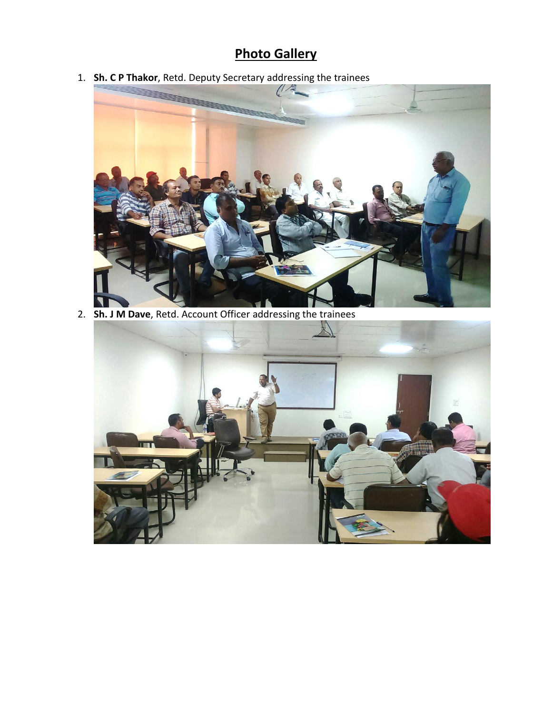## **Photo Gallery**

1. **Sh. C P Thakor**, Retd. Deputy Secretary addressing the trainees



2. **Sh. J M Dave**, Retd. Account Officer addressing the trainees